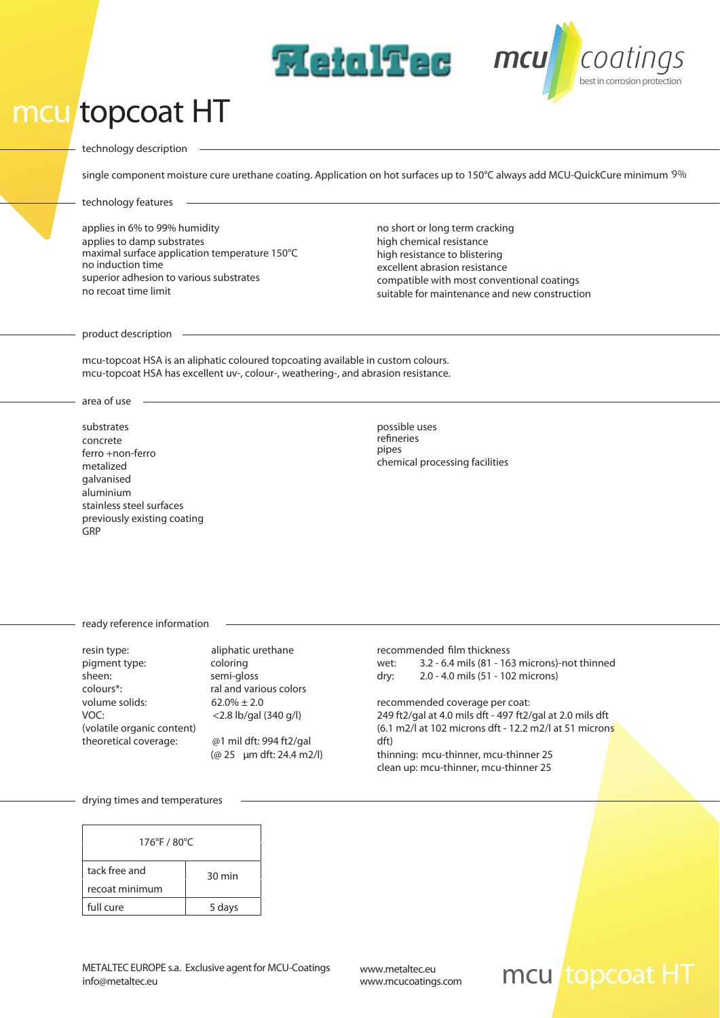## *mcu topcoat HT*



single component moisture cure urethane coating. Application on hot surfaces up to 150°C always add MCU-QuickCure minimum '9%

**MetalTec** mcu

**technology features**

applies in 6% to 99% humidity applies to damp substrates no induction time superior adhesion to various substrates no recoat time limit maximal surface application temperature 150°C no short or long term cracking high chemical resistance high resistance to blistering excellent abrasion resistance compatible with most conventional coatings suitable for maintenance and new construction

*bestin corrosion protection*

coatings

**product description**

mcu-topcoat HSA is an aliphatic coloured topcoating available in custom colours. mcu-topcoat HSA has excellent uv-, colour-, weathering-, and abrasion resistance.

**area of use**

*substrates* concrete ferro +non-ferro metalized galvanised aluminium stainless steel surfaces previously existing coating GRP

*possible uses* refineries pipes chemical processing facilities

**ready reference information**

| resin type:                | aliphatic urethane       | recommended            |
|----------------------------|--------------------------|------------------------|
| pigment type:              | coloring                 | $3.2 -$<br>wet:        |
| sheen:                     | semi-gloss               | $2.0 -$<br>dry:        |
| colours*:                  | ral and various colors   |                        |
| volume solids:             | $62.0\% \pm 2.0$         | recommended            |
| VOC:                       | $<$ 2.8 lb/gal (340 g/l) | 249 ft2/gal at $\cdot$ |
| (volatile organic content) |                          | (6.1 m2/l at 10        |
| theoretical coverage:      | @1 mil dft: 994 ft2/gal  | dft)                   |
|                            | (@ 25 µm dft: 24.4 m2/l) | thinning: mcu          |

*recommended lm thickness wet:* 3.2 - 6.4 mils (81 - 163 microns)-not thinned *dry:* 2.0 - 4.0 mils (51 - 102 microns)

*recommended coverage per coat:*  249 ft2/gal at 4.0 mils dft - 497 ft2/gal at 2.0 mils dft (6.1 matrices of the 12.2 m2/l at 51 microns thinning: mcu-thinner, mcu-thinner 25 clean up: mcu-thinner, mcu-thinner 25

**drying times and temperatures**

| 176°F / 80°C   |                  |  |
|----------------|------------------|--|
| tack free and  | $30 \text{ min}$ |  |
| recoat minimum |                  |  |
| full cure      | 5 days           |  |

## *www.mcucoatings.com mcu topcoat HT*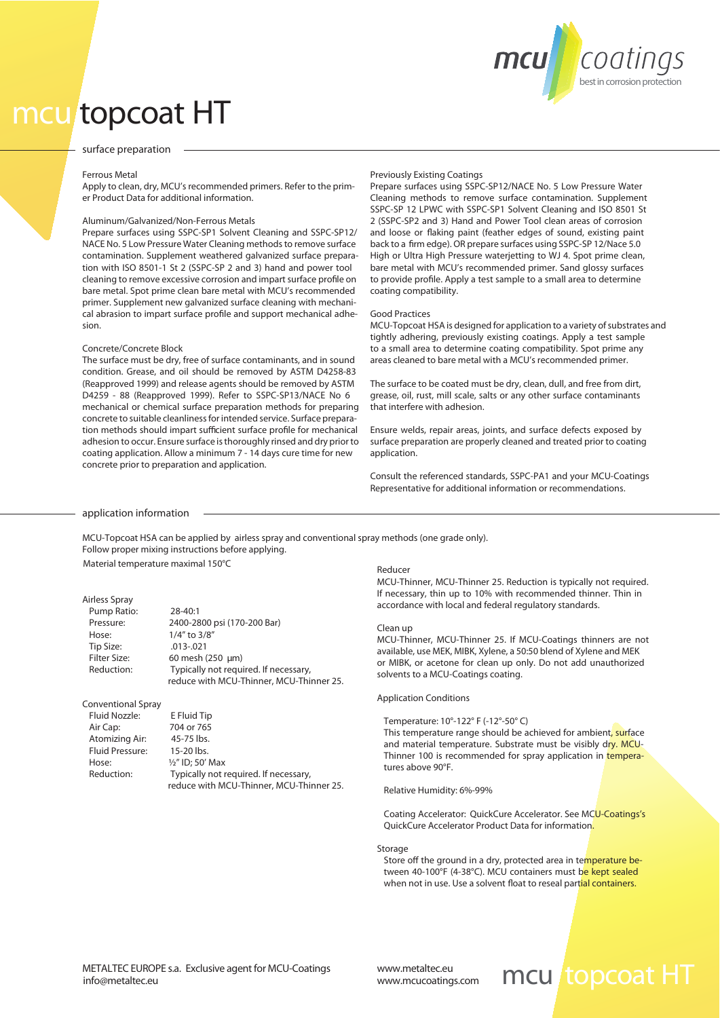

# *mcu topcoat HT*

### **surface preparation**

### *Ferrous Metal*

Apply to clean, dry, MCU's recommended primers. Refer to the primer Product Data for additional information.

### *Aluminum/Galvanized/Non-Ferrous Metals*

Prepare surfaces using SSPC-SP1 Solvent Cleaning and SSPC-SP12/ NACE No. 5 Low Pressure Water Cleaning methods to remove surface contamination. Supplement weathered galvanized surface preparation with ISO 8501-1 St 2 (SSPC-SP 2 and 3) hand and power tool cleaning to remove excessive corrosion and impart surface profile on bare metal. Spot prime clean bare metal with MCU's recommended primer. Supplement new galvanized surface cleaning with mechanical abrasion to impart surface profile and support mechanical adhesion.

### *Concrete/Concrete Block*

The surface must be dry, free of surface contaminants, and in sound condition. Grease, and oil should be removed by ASTM D4258-83 (Reapproved 1999) and release agents should be removed by ASTM D4259 - 88 (Reapproved 1999). Refer to SSPC-SP13/NACE No 6 mechanical or chemical surface preparation methods for preparing concrete to suitable cleanlinessforintended service. Surface preparation methods should impart sufficient surface profile for mechanical adhesion to occur. Ensure surface is thoroughly rinsed and dry prior to coating application. Allow a minimum 7 - 14 days cure time for new concrete prior to preparation and application.

### *Previously Existing Coatings*

.

Prepare surfaces using SSPC-SP12/NACE No. 5 Low Pressure Water Cleaning methods to remove surface contamination. Supplement SSPC-SP 12 LPWC with SSPC-SP1 Solvent Cleaning and ISO 8501 St 2 (SSPC-SP2 and 3) Hand and Power Tool clean areas of corrosion and loose or flaking paint (feather edges of sound, existing paint back to a firm edge). OR prepare surfaces using SSPC-SP 12/Nace 5.0 High or Ultra High Pressure waterjetting to WJ 4. Spot prime clean, bare metal with MCU's recommended primer. Sand glossy surfaces to provide profile. Apply a test sample to a small area to determine coating compatibility.

### *Good Practices*

MCU-Topcoat HSA is designed for application to a variety of substrates and tightly adhering, previously existing coatings. Apply a test sample to a small area to determine coating compatibility. Spot prime any areas cleaned to bare metal with a MCU's recommended primer.

The surface to be coated must be dry, clean, dull, and free from dirt, grease, oil, rust, mill scale, salts or any other surface contaminants that interfere with adhesion.

Ensure welds, repair areas, joints, and surface defects exposed by surface preparation are properly cleaned and treated prior to coating application.

Consult the referenced standards, SSPC-PA1 and your MCU-Coatings Representative for additional information or recommendations.

### **application information**

MCU-Topcoat HSA can be applied by airless spray and conventional spray methods (one grade only). Follow proper mixing instructions before applying. Material temperature maximal 150°C

## *Airless Spray*  Pump Ratio: 28-40:1

| . <i></i>           |                                          |
|---------------------|------------------------------------------|
| Pressure:           | 2400-2800 psi (170-200 Bar)              |
| Hose:               | 1/4" to 3/8"                             |
| Tip Size:           | $.013 - .021$                            |
| <b>Filter Size:</b> | 60 mesh (250 µm)                         |
| Reduction:          | Typically not required. If necessary,    |
|                     | reduce with MCU-Thinner, MCU-Thinner 25. |

### *Conventional Spray*

| Fluid Nozzle:          | E Fluid Tip                              |
|------------------------|------------------------------------------|
| Air Cap:               | 704 or 765                               |
| Atomizing Air:         | 45-75 lbs.                               |
| <b>Fluid Pressure:</b> | 15-20 lbs.                               |
| Hose:                  | $\frac{1}{2}$ " ID: 50' Max              |
| Reduction:             | Typically not required. If necessary,    |
|                        | reduce with MCU-Thinner, MCU-Thinner 25. |

Max

*Reducer*

MCU-Thinner, MCU-Thinner 25. Reduction is typically not required. If necessary, thin up to 10% with recommended thinner. Thin in accordance with local and federal regulatory standards.

### *Clean up*

MCU-Thinner, MCU-Thinner 25. If MCU-Coatings thinners are not available, use MEK, MIBK, Xylene, a 50:50 blend of Xylene and MEK or MIBK, or acetone for clean up only. Do not add unauthorized solvents to a MCU-Coatings coating.

### *Application Conditions*

Temperature: 10°-122° F (-12°-50° C)

This temperature range should be achieved for ambient, surface and material temperature. Substrate must be visibly dry. MCU-Thinner 100 is recommended for spray application in temperatures above 90°F.

### Relative Humidity: 6%-99%

Coating Accelerator: QuickCure Accelerator. See MCU-Coatings's QuickCure Accelerator Product Data for information.

### *Storage*

Store off the ground in a dry, protected area in temperature between 40-100°F (4-38°C). MCU containers must be kept sealed when not in use. Use a solvent float to reseal partial containers.

*www.mcucoatings.com*